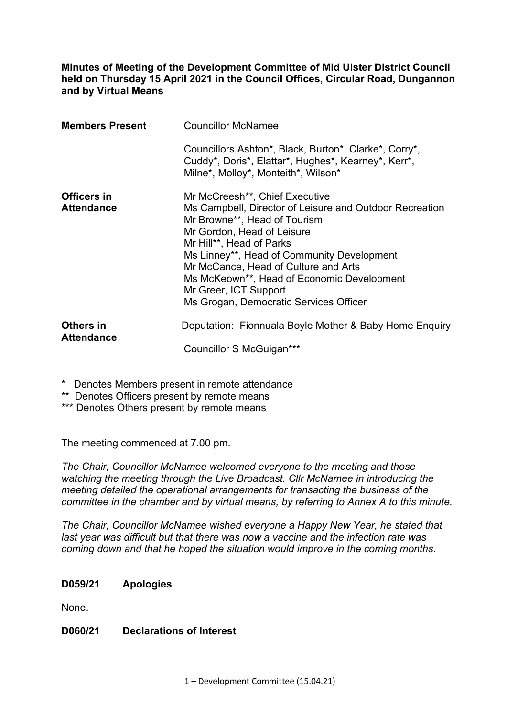**Minutes of Meeting of the Development Committee of Mid Ulster District Council held on Thursday 15 April 2021 in the Council Offices, Circular Road, Dungannon and by Virtual Means** 

| <b>Members Present</b>           | <b>Councillor McNamee</b>                                                                                                                                                                                                                                                                                                                                                                  |
|----------------------------------|--------------------------------------------------------------------------------------------------------------------------------------------------------------------------------------------------------------------------------------------------------------------------------------------------------------------------------------------------------------------------------------------|
|                                  | Councillors Ashton*, Black, Burton*, Clarke*, Corry*,<br>Cuddy*, Doris*, Elattar*, Hughes*, Kearney*, Kerr*,<br>Milne*, Molloy*, Monteith*, Wilson*                                                                                                                                                                                                                                        |
| Officers in<br><b>Attendance</b> | Mr McCreesh**, Chief Executive<br>Ms Campbell, Director of Leisure and Outdoor Recreation<br>Mr Browne**, Head of Tourism<br>Mr Gordon, Head of Leisure<br>Mr Hill**, Head of Parks<br>Ms Linney**, Head of Community Development<br>Mr McCance, Head of Culture and Arts<br>Ms McKeown**, Head of Economic Development<br>Mr Greer, ICT Support<br>Ms Grogan, Democratic Services Officer |
| Others in<br><b>Attendance</b>   | Deputation: Fionnuala Boyle Mother & Baby Home Enquiry<br>Councillor S McGuigan***                                                                                                                                                                                                                                                                                                         |

\* Denotes Members present in remote attendance

\*\* Denotes Officers present by remote means

\*\*\* Denotes Others present by remote means

The meeting commenced at 7.00 pm.

*The Chair, Councillor McNamee welcomed everyone to the meeting and those watching the meeting through the Live Broadcast. Cllr McNamee in introducing the meeting detailed the operational arrangements for transacting the business of the committee in the chamber and by virtual means, by referring to Annex A to this minute.* 

*The Chair, Councillor McNamee wished everyone a Happy New Year, he stated that last year was difficult but that there was now a vaccine and the infection rate was coming down and that he hoped the situation would improve in the coming months.* 

#### **D059/21 Apologies**

None.

#### **D060/21 Declarations of Interest**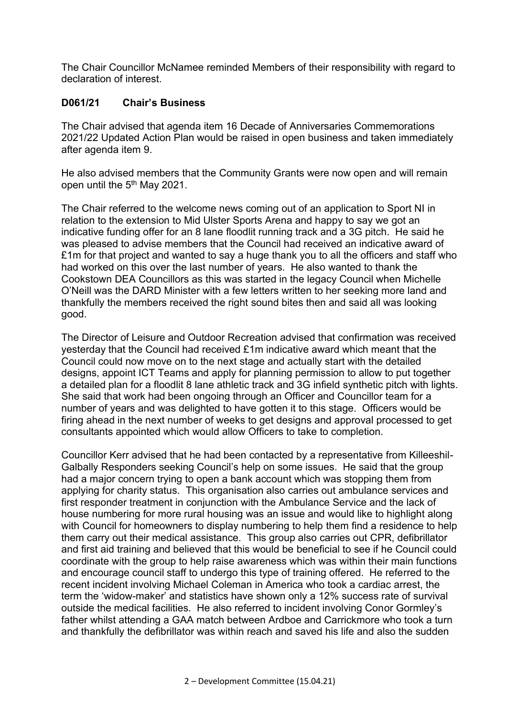The Chair Councillor McNamee reminded Members of their responsibility with regard to declaration of interest.

## **D061/21 Chair's Business**

The Chair advised that agenda item 16 Decade of Anniversaries Commemorations 2021/22 Updated Action Plan would be raised in open business and taken immediately after agenda item 9.

He also advised members that the Community Grants were now open and will remain open until the 5<sup>th</sup> May 2021.

The Chair referred to the welcome news coming out of an application to Sport NI in relation to the extension to Mid Ulster Sports Arena and happy to say we got an indicative funding offer for an 8 lane floodlit running track and a 3G pitch. He said he was pleased to advise members that the Council had received an indicative award of £1m for that project and wanted to say a huge thank you to all the officers and staff who had worked on this over the last number of years. He also wanted to thank the Cookstown DEA Councillors as this was started in the legacy Council when Michelle O'Neill was the DARD Minister with a few letters written to her seeking more land and thankfully the members received the right sound bites then and said all was looking good.

The Director of Leisure and Outdoor Recreation advised that confirmation was received yesterday that the Council had received £1m indicative award which meant that the Council could now move on to the next stage and actually start with the detailed designs, appoint ICT Teams and apply for planning permission to allow to put together a detailed plan for a floodlit 8 lane athletic track and 3G infield synthetic pitch with lights. She said that work had been ongoing through an Officer and Councillor team for a number of years and was delighted to have gotten it to this stage. Officers would be firing ahead in the next number of weeks to get designs and approval processed to get consultants appointed which would allow Officers to take to completion.

Councillor Kerr advised that he had been contacted by a representative from Killeeshil-Galbally Responders seeking Council's help on some issues. He said that the group had a major concern trying to open a bank account which was stopping them from applying for charity status. This organisation also carries out ambulance services and first responder treatment in conjunction with the Ambulance Service and the lack of house numbering for more rural housing was an issue and would like to highlight along with Council for homeowners to display numbering to help them find a residence to help them carry out their medical assistance. This group also carries out CPR, defibrillator and first aid training and believed that this would be beneficial to see if he Council could coordinate with the group to help raise awareness which was within their main functions and encourage council staff to undergo this type of training offered. He referred to the recent incident involving Michael Coleman in America who took a cardiac arrest, the term the 'widow-maker' and statistics have shown only a 12% success rate of survival outside the medical facilities. He also referred to incident involving Conor Gormley's father whilst attending a GAA match between Ardboe and Carrickmore who took a turn and thankfully the defibrillator was within reach and saved his life and also the sudden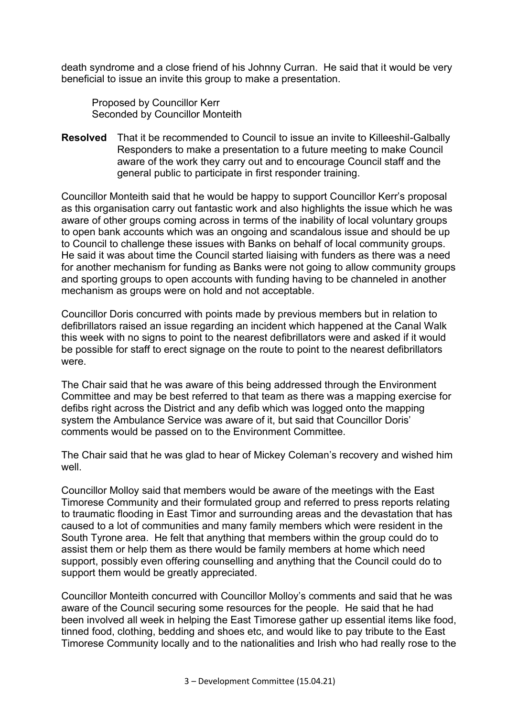death syndrome and a close friend of his Johnny Curran. He said that it would be very beneficial to issue an invite this group to make a presentation.

 Proposed by Councillor Kerr Seconded by Councillor Monteith

**Resolved** That it be recommended to Council to issue an invite to Killeeshil-Galbally Responders to make a presentation to a future meeting to make Council aware of the work they carry out and to encourage Council staff and the general public to participate in first responder training.

Councillor Monteith said that he would be happy to support Councillor Kerr's proposal as this organisation carry out fantastic work and also highlights the issue which he was aware of other groups coming across in terms of the inability of local voluntary groups to open bank accounts which was an ongoing and scandalous issue and should be up to Council to challenge these issues with Banks on behalf of local community groups. He said it was about time the Council started liaising with funders as there was a need for another mechanism for funding as Banks were not going to allow community groups and sporting groups to open accounts with funding having to be channeled in another mechanism as groups were on hold and not acceptable.

Councillor Doris concurred with points made by previous members but in relation to defibrillators raised an issue regarding an incident which happened at the Canal Walk this week with no signs to point to the nearest defibrillators were and asked if it would be possible for staff to erect signage on the route to point to the nearest defibrillators were.

The Chair said that he was aware of this being addressed through the Environment Committee and may be best referred to that team as there was a mapping exercise for defibs right across the District and any defib which was logged onto the mapping system the Ambulance Service was aware of it, but said that Councillor Doris' comments would be passed on to the Environment Committee.

The Chair said that he was glad to hear of Mickey Coleman's recovery and wished him well

Councillor Molloy said that members would be aware of the meetings with the East Timorese Community and their formulated group and referred to press reports relating to traumatic flooding in East Timor and surrounding areas and the devastation that has caused to a lot of communities and many family members which were resident in the South Tyrone area. He felt that anything that members within the group could do to assist them or help them as there would be family members at home which need support, possibly even offering counselling and anything that the Council could do to support them would be greatly appreciated.

Councillor Monteith concurred with Councillor Molloy's comments and said that he was aware of the Council securing some resources for the people. He said that he had been involved all week in helping the East Timorese gather up essential items like food, tinned food, clothing, bedding and shoes etc, and would like to pay tribute to the East Timorese Community locally and to the nationalities and Irish who had really rose to the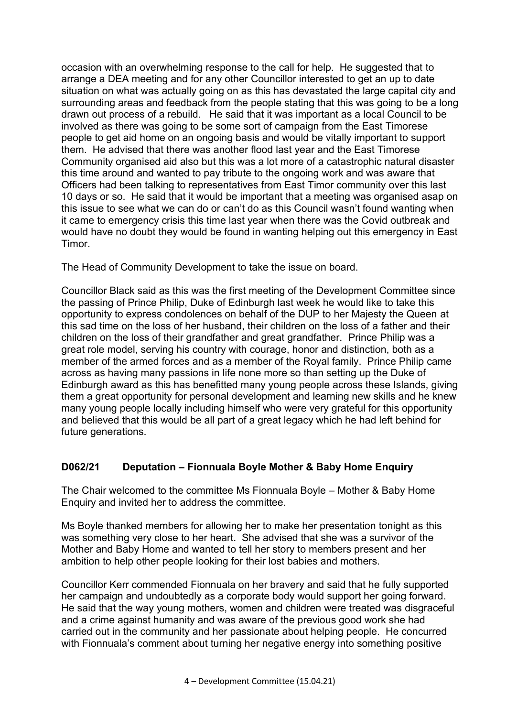occasion with an overwhelming response to the call for help. He suggested that to arrange a DEA meeting and for any other Councillor interested to get an up to date situation on what was actually going on as this has devastated the large capital city and surrounding areas and feedback from the people stating that this was going to be a long drawn out process of a rebuild. He said that it was important as a local Council to be involved as there was going to be some sort of campaign from the East Timorese people to get aid home on an ongoing basis and would be vitally important to support them. He advised that there was another flood last year and the East Timorese Community organised aid also but this was a lot more of a catastrophic natural disaster this time around and wanted to pay tribute to the ongoing work and was aware that Officers had been talking to representatives from East Timor community over this last 10 days or so. He said that it would be important that a meeting was organised asap on this issue to see what we can do or can't do as this Council wasn't found wanting when it came to emergency crisis this time last year when there was the Covid outbreak and would have no doubt they would be found in wanting helping out this emergency in East **Timor** 

The Head of Community Development to take the issue on board.

Councillor Black said as this was the first meeting of the Development Committee since the passing of Prince Philip, Duke of Edinburgh last week he would like to take this opportunity to express condolences on behalf of the DUP to her Majesty the Queen at this sad time on the loss of her husband, their children on the loss of a father and their children on the loss of their grandfather and great grandfather. Prince Philip was a great role model, serving his country with courage, honor and distinction, both as a member of the armed forces and as a member of the Royal family. Prince Philip came across as having many passions in life none more so than setting up the Duke of Edinburgh award as this has benefitted many young people across these Islands, giving them a great opportunity for personal development and learning new skills and he knew many young people locally including himself who were very grateful for this opportunity and believed that this would be all part of a great legacy which he had left behind for future generations.

# **D062/21 Deputation – Fionnuala Boyle Mother & Baby Home Enquiry**

The Chair welcomed to the committee Ms Fionnuala Boyle – Mother & Baby Home Enquiry and invited her to address the committee.

Ms Boyle thanked members for allowing her to make her presentation tonight as this was something very close to her heart. She advised that she was a survivor of the Mother and Baby Home and wanted to tell her story to members present and her ambition to help other people looking for their lost babies and mothers.

Councillor Kerr commended Fionnuala on her bravery and said that he fully supported her campaign and undoubtedly as a corporate body would support her going forward. He said that the way young mothers, women and children were treated was disgraceful and a crime against humanity and was aware of the previous good work she had carried out in the community and her passionate about helping people. He concurred with Fionnuala's comment about turning her negative energy into something positive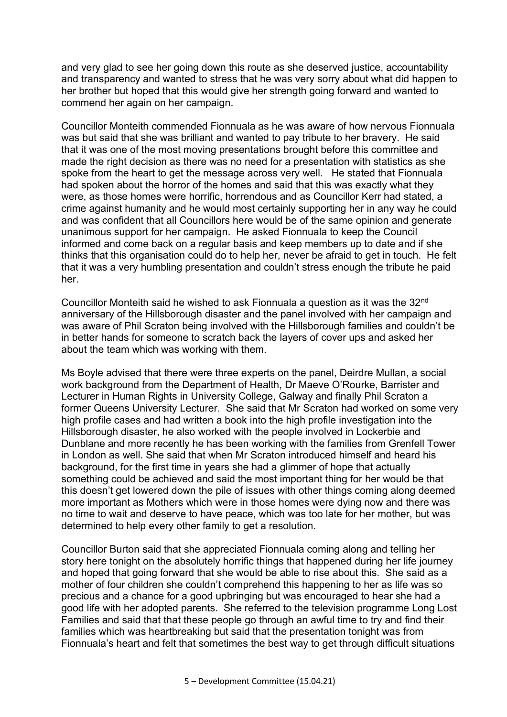and very glad to see her going down this route as she deserved justice, accountability and transparency and wanted to stress that he was very sorry about what did happen to her brother but hoped that this would give her strength going forward and wanted to commend her again on her campaign.

Councillor Monteith commended Fionnuala as he was aware of how nervous Fionnuala was but said that she was brilliant and wanted to pay tribute to her bravery. He said that it was one of the most moving presentations brought before this committee and made the right decision as there was no need for a presentation with statistics as she spoke from the heart to get the message across very well. He stated that Fionnuala had spoken about the horror of the homes and said that this was exactly what they were, as those homes were horrific, horrendous and as Councillor Kerr had stated, a crime against humanity and he would most certainly supporting her in any way he could and was confident that all Councillors here would be of the same opinion and generate unanimous support for her campaign. He asked Fionnuala to keep the Council informed and come back on a regular basis and keep members up to date and if she thinks that this organisation could do to help her, never be afraid to get in touch. He felt that it was a very humbling presentation and couldn't stress enough the tribute he paid her.

Councillor Monteith said he wished to ask Fionnuala a question as it was the 32nd anniversary of the Hillsborough disaster and the panel involved with her campaign and was aware of Phil Scraton being involved with the Hillsborough families and couldn't be in better hands for someone to scratch back the layers of cover ups and asked her about the team which was working with them.

Ms Boyle advised that there were three experts on the panel, Deirdre Mullan, a social work background from the Department of Health, Dr Maeve O'Rourke, Barrister and Lecturer in Human Rights in University College, Galway and finally Phil Scraton a former Queens University Lecturer. She said that Mr Scraton had worked on some very high profile cases and had written a book into the high profile investigation into the Hillsborough disaster, he also worked with the people involved in Lockerbie and Dunblane and more recently he has been working with the families from Grenfell Tower in London as well. She said that when Mr Scraton introduced himself and heard his background, for the first time in years she had a glimmer of hope that actually something could be achieved and said the most important thing for her would be that this doesn't get lowered down the pile of issues with other things coming along deemed more important as Mothers which were in those homes were dying now and there was no time to wait and deserve to have peace, which was too late for her mother, but was determined to help every other family to get a resolution.

Councillor Burton said that she appreciated Fionnuala coming along and telling her story here tonight on the absolutely horrific things that happened during her life journey and hoped that going forward that she would be able to rise about this. She said as a mother of four children she couldn't comprehend this happening to her as life was so precious and a chance for a good upbringing but was encouraged to hear she had a good life with her adopted parents. She referred to the television programme Long Lost Families and said that that these people go through an awful time to try and find their families which was heartbreaking but said that the presentation tonight was from Fionnuala's heart and felt that sometimes the best way to get through difficult situations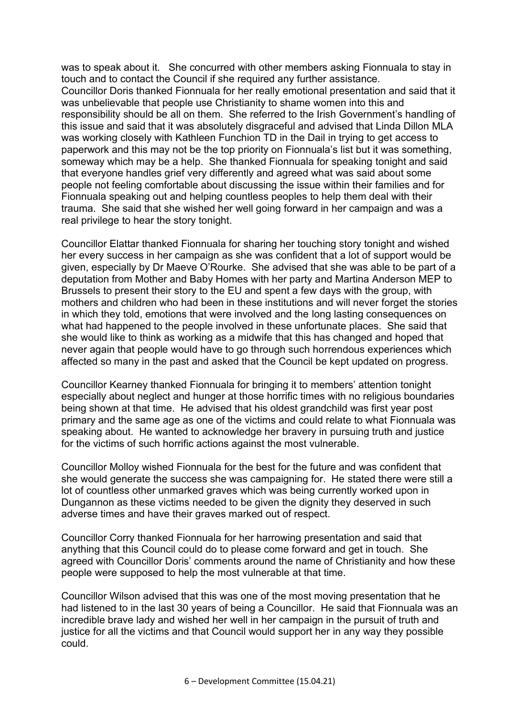was to speak about it. She concurred with other members asking Fionnuala to stay in touch and to contact the Council if she required any further assistance. Councillor Doris thanked Fionnuala for her really emotional presentation and said that it was unbelievable that people use Christianity to shame women into this and responsibility should be all on them. She referred to the Irish Government's handling of this issue and said that it was absolutely disgraceful and advised that Linda Dillon MLA was working closely with Kathleen Funchion TD in the Dail in trying to get access to paperwork and this may not be the top priority on Fionnuala's list but it was something, someway which may be a help. She thanked Fionnuala for speaking tonight and said that everyone handles grief very differently and agreed what was said about some people not feeling comfortable about discussing the issue within their families and for Fionnuala speaking out and helping countless peoples to help them deal with their trauma. She said that she wished her well going forward in her campaign and was a real privilege to hear the story tonight.

Councillor Elattar thanked Fionnuala for sharing her touching story tonight and wished her every success in her campaign as she was confident that a lot of support would be given, especially by Dr Maeve O'Rourke. She advised that she was able to be part of a deputation from Mother and Baby Homes with her party and Martina Anderson MEP to Brussels to present their story to the EU and spent a few days with the group, with mothers and children who had been in these institutions and will never forget the stories in which they told, emotions that were involved and the long lasting consequences on what had happened to the people involved in these unfortunate places. She said that she would like to think as working as a midwife that this has changed and hoped that never again that people would have to go through such horrendous experiences which affected so many in the past and asked that the Council be kept updated on progress.

Councillor Kearney thanked Fionnuala for bringing it to members' attention tonight especially about neglect and hunger at those horrific times with no religious boundaries being shown at that time. He advised that his oldest grandchild was first year post primary and the same age as one of the victims and could relate to what Fionnuala was speaking about. He wanted to acknowledge her bravery in pursuing truth and justice for the victims of such horrific actions against the most vulnerable.

Councillor Molloy wished Fionnuala for the best for the future and was confident that she would generate the success she was campaigning for. He stated there were still a lot of countless other unmarked graves which was being currently worked upon in Dungannon as these victims needed to be given the dignity they deserved in such adverse times and have their graves marked out of respect.

Councillor Corry thanked Fionnuala for her harrowing presentation and said that anything that this Council could do to please come forward and get in touch. She agreed with Councillor Doris' comments around the name of Christianity and how these people were supposed to help the most vulnerable at that time.

Councillor Wilson advised that this was one of the most moving presentation that he had listened to in the last 30 years of being a Councillor. He said that Fionnuala was an incredible brave lady and wished her well in her campaign in the pursuit of truth and justice for all the victims and that Council would support her in any way they possible could.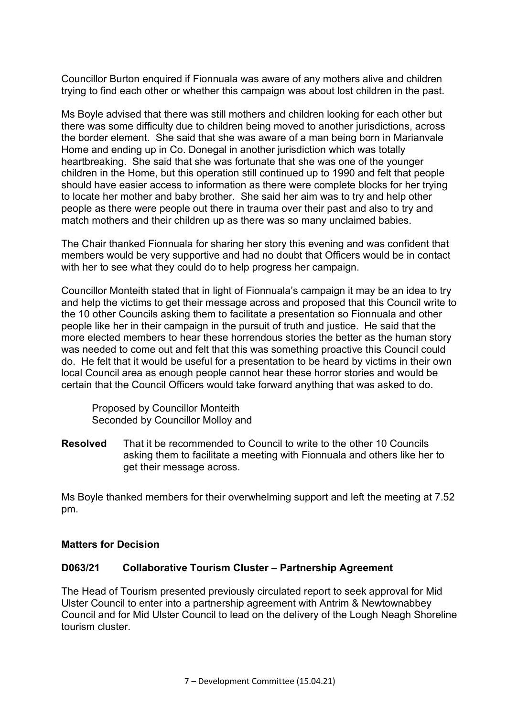Councillor Burton enquired if Fionnuala was aware of any mothers alive and children trying to find each other or whether this campaign was about lost children in the past.

Ms Boyle advised that there was still mothers and children looking for each other but there was some difficulty due to children being moved to another jurisdictions, across the border element. She said that she was aware of a man being born in Marianvale Home and ending up in Co. Donegal in another jurisdiction which was totally heartbreaking. She said that she was fortunate that she was one of the younger children in the Home, but this operation still continued up to 1990 and felt that people should have easier access to information as there were complete blocks for her trying to locate her mother and baby brother. She said her aim was to try and help other people as there were people out there in trauma over their past and also to try and match mothers and their children up as there was so many unclaimed babies.

The Chair thanked Fionnuala for sharing her story this evening and was confident that members would be very supportive and had no doubt that Officers would be in contact with her to see what they could do to help progress her campaign.

Councillor Monteith stated that in light of Fionnuala's campaign it may be an idea to try and help the victims to get their message across and proposed that this Council write to the 10 other Councils asking them to facilitate a presentation so Fionnuala and other people like her in their campaign in the pursuit of truth and justice. He said that the more elected members to hear these horrendous stories the better as the human story was needed to come out and felt that this was something proactive this Council could do. He felt that it would be useful for a presentation to be heard by victims in their own local Council area as enough people cannot hear these horror stories and would be certain that the Council Officers would take forward anything that was asked to do.

 Proposed by Councillor Monteith Seconded by Councillor Molloy and

**Resolved** That it be recommended to Council to write to the other 10 Councils asking them to facilitate a meeting with Fionnuala and others like her to get their message across.

Ms Boyle thanked members for their overwhelming support and left the meeting at 7.52 pm.

#### **Matters for Decision**

#### **D063/21 Collaborative Tourism Cluster – Partnership Agreement**

The Head of Tourism presented previously circulated report to seek approval for Mid Ulster Council to enter into a partnership agreement with Antrim & Newtownabbey Council and for Mid Ulster Council to lead on the delivery of the Lough Neagh Shoreline tourism cluster.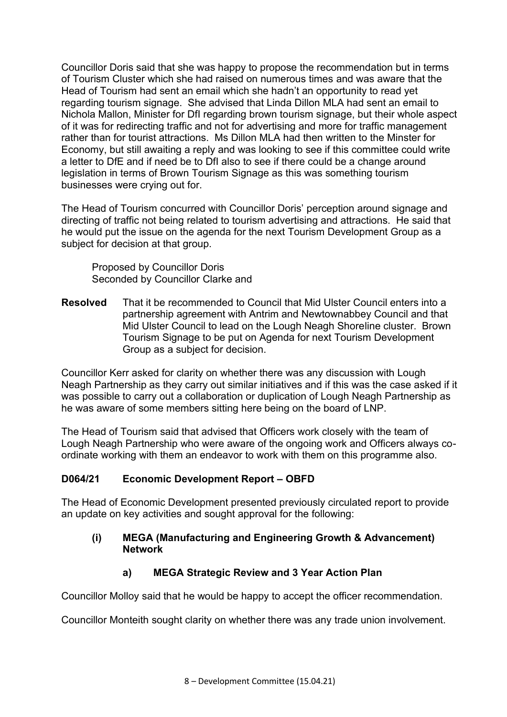Councillor Doris said that she was happy to propose the recommendation but in terms of Tourism Cluster which she had raised on numerous times and was aware that the Head of Tourism had sent an email which she hadn't an opportunity to read yet regarding tourism signage. She advised that Linda Dillon MLA had sent an email to Nichola Mallon, Minister for DfI regarding brown tourism signage, but their whole aspect of it was for redirecting traffic and not for advertising and more for traffic management rather than for tourist attractions. Ms Dillon MLA had then written to the Minster for Economy, but still awaiting a reply and was looking to see if this committee could write a letter to DfE and if need be to DfI also to see if there could be a change around legislation in terms of Brown Tourism Signage as this was something tourism businesses were crying out for.

The Head of Tourism concurred with Councillor Doris' perception around signage and directing of traffic not being related to tourism advertising and attractions. He said that he would put the issue on the agenda for the next Tourism Development Group as a subject for decision at that group.

 Proposed by Councillor Doris Seconded by Councillor Clarke and

**Resolved** That it be recommended to Council that Mid Ulster Council enters into a partnership agreement with Antrim and Newtownabbey Council and that Mid Ulster Council to lead on the Lough Neagh Shoreline cluster. Brown Tourism Signage to be put on Agenda for next Tourism Development Group as a subject for decision.

Councillor Kerr asked for clarity on whether there was any discussion with Lough Neagh Partnership as they carry out similar initiatives and if this was the case asked if it was possible to carry out a collaboration or duplication of Lough Neagh Partnership as he was aware of some members sitting here being on the board of LNP.

The Head of Tourism said that advised that Officers work closely with the team of Lough Neagh Partnership who were aware of the ongoing work and Officers always coordinate working with them an endeavor to work with them on this programme also.

# **D064/21 Economic Development Report – OBFD**

The Head of Economic Development presented previously circulated report to provide an update on key activities and sought approval for the following:

#### **(i) MEGA (Manufacturing and Engineering Growth & Advancement) Network**

# **a) MEGA Strategic Review and 3 Year Action Plan**

Councillor Molloy said that he would be happy to accept the officer recommendation.

Councillor Monteith sought clarity on whether there was any trade union involvement.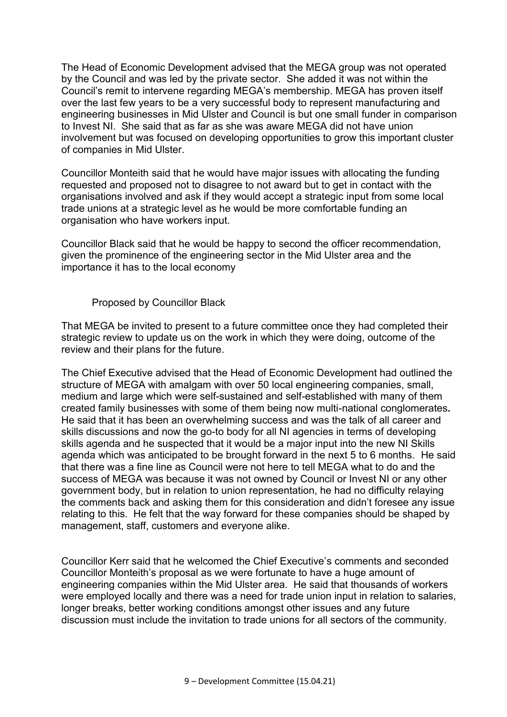The Head of Economic Development advised that the MEGA group was not operated by the Council and was led by the private sector. She added it was not within the Council's remit to intervene regarding MEGA's membership. MEGA has proven itself over the last few years to be a very successful body to represent manufacturing and engineering businesses in Mid Ulster and Council is but one small funder in comparison to Invest NI. She said that as far as she was aware MEGA did not have union involvement but was focused on developing opportunities to grow this important cluster of companies in Mid Ulster.

Councillor Monteith said that he would have major issues with allocating the funding requested and proposed not to disagree to not award but to get in contact with the organisations involved and ask if they would accept a strategic input from some local trade unions at a strategic level as he would be more comfortable funding an organisation who have workers input.

Councillor Black said that he would be happy to second the officer recommendation, given the prominence of the engineering sector in the Mid Ulster area and the importance it has to the local economy

Proposed by Councillor Black

That MEGA be invited to present to a future committee once they had completed their strategic review to update us on the work in which they were doing, outcome of the review and their plans for the future.

The Chief Executive advised that the Head of Economic Development had outlined the structure of MEGA with amalgam with over 50 local engineering companies, small, medium and large which were self-sustained and self-established with many of them created family businesses with some of them being now multi-national conglomerates**.**  He said that it has been an overwhelming success and was the talk of all career and skills discussions and now the go-to body for all NI agencies in terms of developing skills agenda and he suspected that it would be a major input into the new NI Skills agenda which was anticipated to be brought forward in the next 5 to 6 months. He said that there was a fine line as Council were not here to tell MEGA what to do and the success of MEGA was because it was not owned by Council or Invest NI or any other government body, but in relation to union representation, he had no difficulty relaying the comments back and asking them for this consideration and didn't foresee any issue relating to this. He felt that the way forward for these companies should be shaped by management, staff, customers and everyone alike.

Councillor Kerr said that he welcomed the Chief Executive's comments and seconded Councillor Monteith's proposal as we were fortunate to have a huge amount of engineering companies within the Mid Ulster area. He said that thousands of workers were employed locally and there was a need for trade union input in relation to salaries, longer breaks, better working conditions amongst other issues and any future discussion must include the invitation to trade unions for all sectors of the community.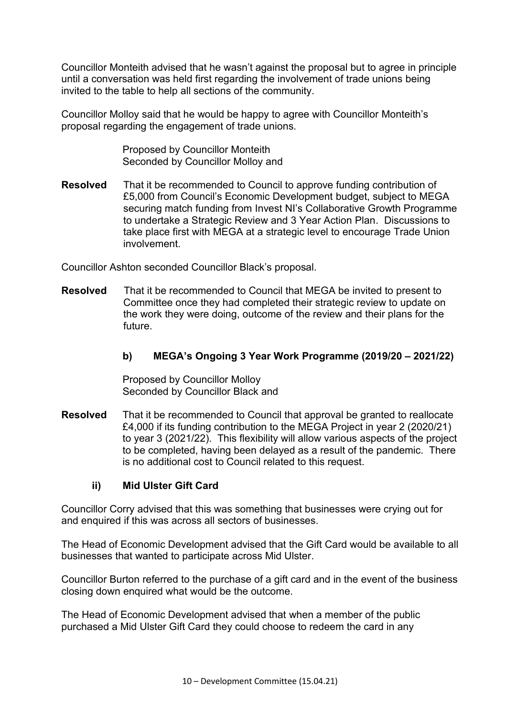Councillor Monteith advised that he wasn't against the proposal but to agree in principle until a conversation was held first regarding the involvement of trade unions being invited to the table to help all sections of the community.

Councillor Molloy said that he would be happy to agree with Councillor Monteith's proposal regarding the engagement of trade unions.

> Proposed by Councillor Monteith Seconded by Councillor Molloy and

**Resolved** That it be recommended to Council to approve funding contribution of £5,000 from Council's Economic Development budget, subject to MEGA securing match funding from Invest NI's Collaborative Growth Programme to undertake a Strategic Review and 3 Year Action Plan. Discussions to take place first with MEGA at a strategic level to encourage Trade Union involvement.

Councillor Ashton seconded Councillor Black's proposal.

**Resolved** That it be recommended to Council that MEGA be invited to present to Committee once they had completed their strategic review to update on the work they were doing, outcome of the review and their plans for the future.

## **b) MEGA's Ongoing 3 Year Work Programme (2019/20 – 2021/22)**

 Proposed by Councillor Molloy Seconded by Councillor Black and

**Resolved** That it be recommended to Council that approval be granted to reallocate £4,000 if its funding contribution to the MEGA Project in year 2 (2020/21) to year 3 (2021/22). This flexibility will allow various aspects of the project to be completed, having been delayed as a result of the pandemic. There is no additional cost to Council related to this request.

#### **ii) Mid Ulster Gift Card**

Councillor Corry advised that this was something that businesses were crying out for and enquired if this was across all sectors of businesses.

The Head of Economic Development advised that the Gift Card would be available to all businesses that wanted to participate across Mid Ulster.

Councillor Burton referred to the purchase of a gift card and in the event of the business closing down enquired what would be the outcome.

The Head of Economic Development advised that when a member of the public purchased a Mid Ulster Gift Card they could choose to redeem the card in any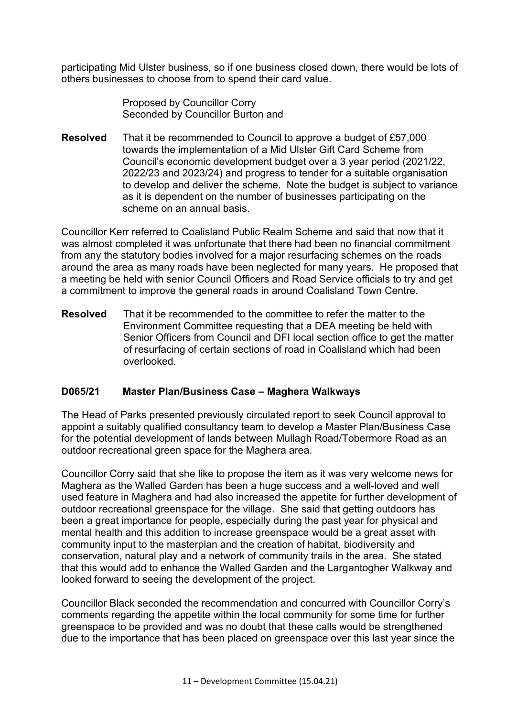participating Mid Ulster business, so if one business closed down, there would be lots of others businesses to choose from to spend their card value.

> **Proposed by Councillor Corrv** Seconded by Councillor Burton and

**Resolved** That it be recommended to Council to approve a budget of £57,000 towards the implementation of a Mid Ulster Gift Card Scheme from Council's economic development budget over a 3 year period (2021/22, 2022/23 and 2023/24) and progress to tender for a suitable organisation to develop and deliver the scheme. Note the budget is subject to variance as it is dependent on the number of businesses participating on the scheme on an annual basis.

Councillor Kerr referred to Coalisland Public Realm Scheme and said that now that it was almost completed it was unfortunate that there had been no financial commitment from any the statutory bodies involved for a major resurfacing schemes on the roads around the area as many roads have been neglected for many years. He proposed that a meeting be held with senior Council Officers and Road Service officials to try and get a commitment to improve the general roads in around Coalisland Town Centre.

**Resolved** That it be recommended to the committee to refer the matter to the Environment Committee requesting that a DEA meeting be held with Senior Officers from Council and DFI local section office to get the matter of resurfacing of certain sections of road in Coalisland which had been overlooked.

#### **D065/21 Master Plan/Business Case – Maghera Walkways**

The Head of Parks presented previously circulated report to seek Council approval to appoint a suitably qualified consultancy team to develop a Master Plan/Business Case for the potential development of lands between Mullagh Road/Tobermore Road as an outdoor recreational green space for the Maghera area.

Councillor Corry said that she like to propose the item as it was very welcome news for Maghera as the Walled Garden has been a huge success and a well-loved and well used feature in Maghera and had also increased the appetite for further development of outdoor recreational greenspace for the village. She said that getting outdoors has been a great importance for people, especially during the past year for physical and mental health and this addition to increase greenspace would be a great asset with community input to the masterplan and the creation of habitat, biodiversity and conservation, natural play and a network of community trails in the area. She stated that this would add to enhance the Walled Garden and the Largantogher Walkway and looked forward to seeing the development of the project.

Councillor Black seconded the recommendation and concurred with Councillor Corry's comments regarding the appetite within the local community for some time for further greenspace to be provided and was no doubt that these calls would be strengthened due to the importance that has been placed on greenspace over this last year since the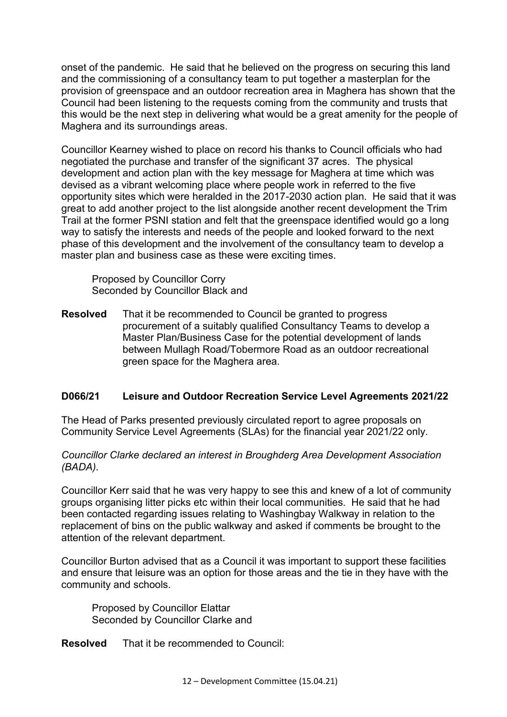onset of the pandemic. He said that he believed on the progress on securing this land and the commissioning of a consultancy team to put together a masterplan for the provision of greenspace and an outdoor recreation area in Maghera has shown that the Council had been listening to the requests coming from the community and trusts that this would be the next step in delivering what would be a great amenity for the people of Maghera and its surroundings areas.

Councillor Kearney wished to place on record his thanks to Council officials who had negotiated the purchase and transfer of the significant 37 acres. The physical development and action plan with the key message for Maghera at time which was devised as a vibrant welcoming place where people work in referred to the five opportunity sites which were heralded in the 2017-2030 action plan. He said that it was great to add another project to the list alongside another recent development the Trim Trail at the former PSNI station and felt that the greenspace identified would go a long way to satisfy the interests and needs of the people and looked forward to the next phase of this development and the involvement of the consultancy team to develop a master plan and business case as these were exciting times.

 Proposed by Councillor Corry Seconded by Councillor Black and

**Resolved** That it be recommended to Council be granted to progress procurement of a suitably qualified Consultancy Teams to develop a Master Plan/Business Case for the potential development of lands between Mullagh Road/Tobermore Road as an outdoor recreational green space for the Maghera area.

## **D066/21 Leisure and Outdoor Recreation Service Level Agreements 2021/22**

The Head of Parks presented previously circulated report to agree proposals on Community Service Level Agreements (SLAs) for the financial year 2021/22 only.

#### *Councillor Clarke declared an interest in Broughderg Area Development Association (BADA).*

Councillor Kerr said that he was very happy to see this and knew of a lot of community groups organising litter picks etc within their local communities. He said that he had been contacted regarding issues relating to Washingbay Walkway in relation to the replacement of bins on the public walkway and asked if comments be brought to the attention of the relevant department.

Councillor Burton advised that as a Council it was important to support these facilities and ensure that leisure was an option for those areas and the tie in they have with the community and schools.

 Proposed by Councillor Elattar Seconded by Councillor Clarke and

**Resolved** That it be recommended to Council: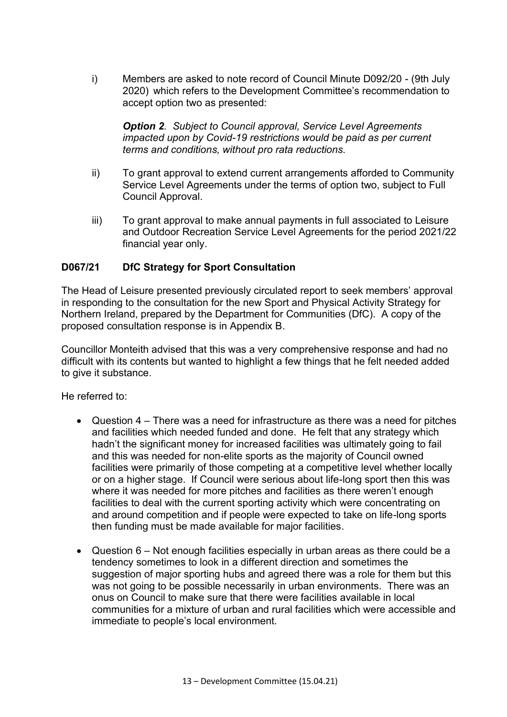i) Members are asked to note record of Council Minute D092/20 - (9th July 2020) which refers to the Development Committee's recommendation to accept option two as presented:

 *Option 2. Subject to Council approval, Service Level Agreements impacted upon by Covid-19 restrictions would be paid as per current terms and conditions, without pro rata reductions.* 

- ii) To grant approval to extend current arrangements afforded to Community Service Level Agreements under the terms of option two, subject to Full Council Approval.
- iii) To grant approval to make annual payments in full associated to Leisure and Outdoor Recreation Service Level Agreements for the period 2021/22 financial year only.

## **D067/21 DfC Strategy for Sport Consultation**

The Head of Leisure presented previously circulated report to seek members' approval in responding to the consultation for the new Sport and Physical Activity Strategy for Northern Ireland, prepared by the Department for Communities (DfC). A copy of the proposed consultation response is in Appendix B.

Councillor Monteith advised that this was a very comprehensive response and had no difficult with its contents but wanted to highlight a few things that he felt needed added to give it substance.

He referred to:

- Question 4 There was a need for infrastructure as there was a need for pitches and facilities which needed funded and done. He felt that any strategy which hadn't the significant money for increased facilities was ultimately going to fail and this was needed for non-elite sports as the majority of Council owned facilities were primarily of those competing at a competitive level whether locally or on a higher stage. If Council were serious about life-long sport then this was where it was needed for more pitches and facilities as there weren't enough facilities to deal with the current sporting activity which were concentrating on and around competition and if people were expected to take on life-long sports then funding must be made available for major facilities.
- Question 6 Not enough facilities especially in urban areas as there could be a tendency sometimes to look in a different direction and sometimes the suggestion of major sporting hubs and agreed there was a role for them but this was not going to be possible necessarily in urban environments. There was an onus on Council to make sure that there were facilities available in local communities for a mixture of urban and rural facilities which were accessible and immediate to people's local environment.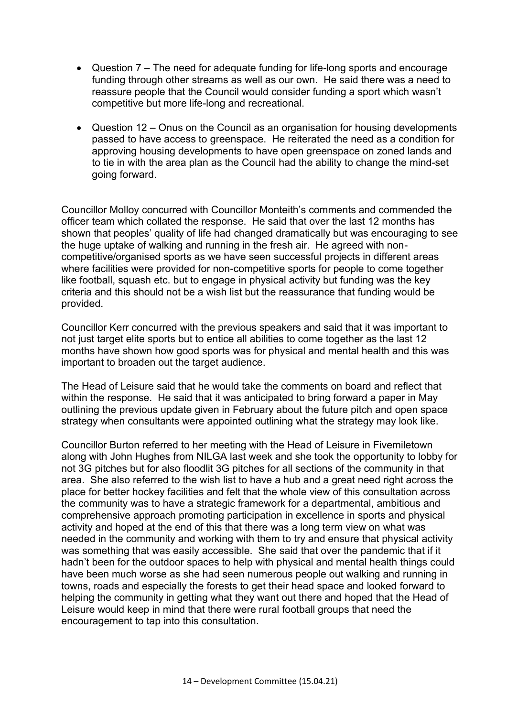- Question 7 The need for adequate funding for life-long sports and encourage funding through other streams as well as our own. He said there was a need to reassure people that the Council would consider funding a sport which wasn't competitive but more life-long and recreational.
- Question 12 Onus on the Council as an organisation for housing developments passed to have access to greenspace. He reiterated the need as a condition for approving housing developments to have open greenspace on zoned lands and to tie in with the area plan as the Council had the ability to change the mind-set going forward.

Councillor Molloy concurred with Councillor Monteith's comments and commended the officer team which collated the response. He said that over the last 12 months has shown that peoples' quality of life had changed dramatically but was encouraging to see the huge uptake of walking and running in the fresh air. He agreed with noncompetitive/organised sports as we have seen successful projects in different areas where facilities were provided for non-competitive sports for people to come together like football, squash etc. but to engage in physical activity but funding was the key criteria and this should not be a wish list but the reassurance that funding would be provided.

Councillor Kerr concurred with the previous speakers and said that it was important to not just target elite sports but to entice all abilities to come together as the last 12 months have shown how good sports was for physical and mental health and this was important to broaden out the target audience.

The Head of Leisure said that he would take the comments on board and reflect that within the response. He said that it was anticipated to bring forward a paper in May outlining the previous update given in February about the future pitch and open space strategy when consultants were appointed outlining what the strategy may look like.

Councillor Burton referred to her meeting with the Head of Leisure in Fivemiletown along with John Hughes from NILGA last week and she took the opportunity to lobby for not 3G pitches but for also floodlit 3G pitches for all sections of the community in that area. She also referred to the wish list to have a hub and a great need right across the place for better hockey facilities and felt that the whole view of this consultation across the community was to have a strategic framework for a departmental, ambitious and comprehensive approach promoting participation in excellence in sports and physical activity and hoped at the end of this that there was a long term view on what was needed in the community and working with them to try and ensure that physical activity was something that was easily accessible. She said that over the pandemic that if it hadn't been for the outdoor spaces to help with physical and mental health things could have been much worse as she had seen numerous people out walking and running in towns, roads and especially the forests to get their head space and looked forward to helping the community in getting what they want out there and hoped that the Head of Leisure would keep in mind that there were rural football groups that need the encouragement to tap into this consultation.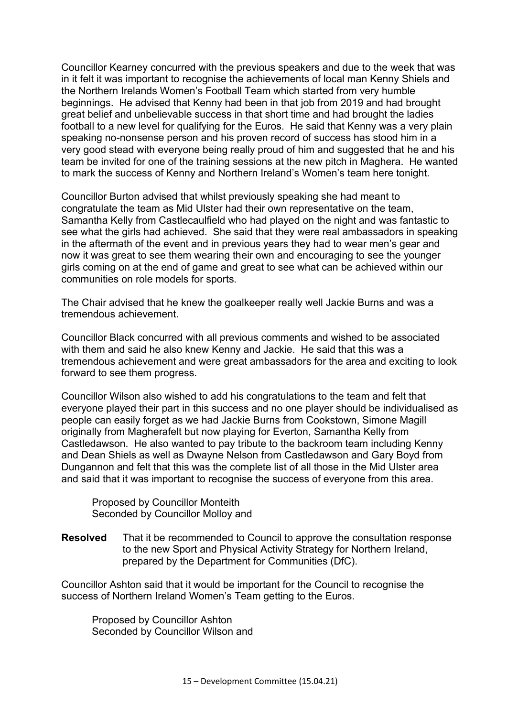Councillor Kearney concurred with the previous speakers and due to the week that was in it felt it was important to recognise the achievements of local man Kenny Shiels and the Northern Irelands Women's Football Team which started from very humble beginnings. He advised that Kenny had been in that job from 2019 and had brought great belief and unbelievable success in that short time and had brought the ladies football to a new level for qualifying for the Euros. He said that Kenny was a very plain speaking no-nonsense person and his proven record of success has stood him in a very good stead with everyone being really proud of him and suggested that he and his team be invited for one of the training sessions at the new pitch in Maghera. He wanted to mark the success of Kenny and Northern Ireland's Women's team here tonight.

Councillor Burton advised that whilst previously speaking she had meant to congratulate the team as Mid Ulster had their own representative on the team, Samantha Kelly from Castlecaulfield who had played on the night and was fantastic to see what the girls had achieved. She said that they were real ambassadors in speaking in the aftermath of the event and in previous years they had to wear men's gear and now it was great to see them wearing their own and encouraging to see the younger girls coming on at the end of game and great to see what can be achieved within our communities on role models for sports.

The Chair advised that he knew the goalkeeper really well Jackie Burns and was a tremendous achievement.

Councillor Black concurred with all previous comments and wished to be associated with them and said he also knew Kenny and Jackie. He said that this was a tremendous achievement and were great ambassadors for the area and exciting to look forward to see them progress.

Councillor Wilson also wished to add his congratulations to the team and felt that everyone played their part in this success and no one player should be individualised as people can easily forget as we had Jackie Burns from Cookstown, Simone Magill originally from Magherafelt but now playing for Everton, Samantha Kelly from Castledawson. He also wanted to pay tribute to the backroom team including Kenny and Dean Shiels as well as Dwayne Nelson from Castledawson and Gary Boyd from Dungannon and felt that this was the complete list of all those in the Mid Ulster area and said that it was important to recognise the success of everyone from this area.

 Proposed by Councillor Monteith Seconded by Councillor Molloy and

**Resolved** That it be recommended to Council to approve the consultation response to the new Sport and Physical Activity Strategy for Northern Ireland, prepared by the Department for Communities (DfC).

Councillor Ashton said that it would be important for the Council to recognise the success of Northern Ireland Women's Team getting to the Euros.

 Proposed by Councillor Ashton Seconded by Councillor Wilson and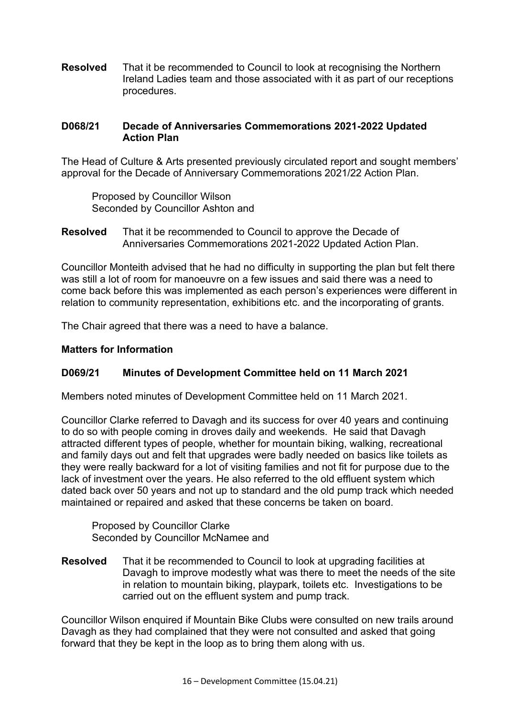**Resolved** That it be recommended to Council to look at recognising the Northern Ireland Ladies team and those associated with it as part of our receptions procedures.

## **D068/21 Decade of Anniversaries Commemorations 2021-2022 Updated Action Plan**

The Head of Culture & Arts presented previously circulated report and sought members' approval for the Decade of Anniversary Commemorations 2021/22 Action Plan.

 Proposed by Councillor Wilson Seconded by Councillor Ashton and

**Resolved** That it be recommended to Council to approve the Decade of Anniversaries Commemorations 2021-2022 Updated Action Plan.

Councillor Monteith advised that he had no difficulty in supporting the plan but felt there was still a lot of room for manoeuvre on a few issues and said there was a need to come back before this was implemented as each person's experiences were different in relation to community representation, exhibitions etc. and the incorporating of grants.

The Chair agreed that there was a need to have a balance.

#### **Matters for Information**

#### **D069/21 Minutes of Development Committee held on 11 March 2021**

Members noted minutes of Development Committee held on 11 March 2021.

Councillor Clarke referred to Davagh and its success for over 40 years and continuing to do so with people coming in droves daily and weekends. He said that Davagh attracted different types of people, whether for mountain biking, walking, recreational and family days out and felt that upgrades were badly needed on basics like toilets as they were really backward for a lot of visiting families and not fit for purpose due to the lack of investment over the years. He also referred to the old effluent system which dated back over 50 years and not up to standard and the old pump track which needed maintained or repaired and asked that these concerns be taken on board.

 Proposed by Councillor Clarke Seconded by Councillor McNamee and

**Resolved** That it be recommended to Council to look at upgrading facilities at Davagh to improve modestly what was there to meet the needs of the site in relation to mountain biking, playpark, toilets etc. Investigations to be carried out on the effluent system and pump track.

Councillor Wilson enquired if Mountain Bike Clubs were consulted on new trails around Davagh as they had complained that they were not consulted and asked that going forward that they be kept in the loop as to bring them along with us.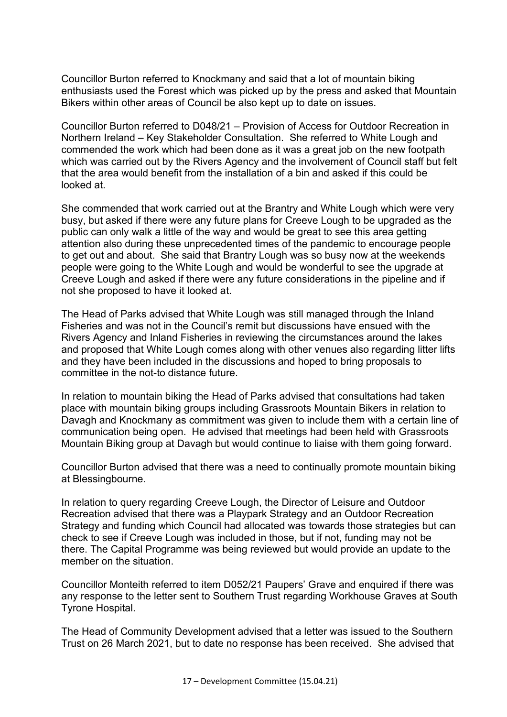Councillor Burton referred to Knockmany and said that a lot of mountain biking enthusiasts used the Forest which was picked up by the press and asked that Mountain Bikers within other areas of Council be also kept up to date on issues.

Councillor Burton referred to D048/21 – Provision of Access for Outdoor Recreation in Northern Ireland – Key Stakeholder Consultation. She referred to White Lough and commended the work which had been done as it was a great job on the new footpath which was carried out by the Rivers Agency and the involvement of Council staff but felt that the area would benefit from the installation of a bin and asked if this could be looked at.

She commended that work carried out at the Brantry and White Lough which were very busy, but asked if there were any future plans for Creeve Lough to be upgraded as the public can only walk a little of the way and would be great to see this area getting attention also during these unprecedented times of the pandemic to encourage people to get out and about. She said that Brantry Lough was so busy now at the weekends people were going to the White Lough and would be wonderful to see the upgrade at Creeve Lough and asked if there were any future considerations in the pipeline and if not she proposed to have it looked at.

The Head of Parks advised that White Lough was still managed through the Inland Fisheries and was not in the Council's remit but discussions have ensued with the Rivers Agency and Inland Fisheries in reviewing the circumstances around the lakes and proposed that White Lough comes along with other venues also regarding litter lifts and they have been included in the discussions and hoped to bring proposals to committee in the not-to distance future.

In relation to mountain biking the Head of Parks advised that consultations had taken place with mountain biking groups including Grassroots Mountain Bikers in relation to Davagh and Knockmany as commitment was given to include them with a certain line of communication being open. He advised that meetings had been held with Grassroots Mountain Biking group at Davagh but would continue to liaise with them going forward.

Councillor Burton advised that there was a need to continually promote mountain biking at Blessingbourne.

In relation to query regarding Creeve Lough, the Director of Leisure and Outdoor Recreation advised that there was a Playpark Strategy and an Outdoor Recreation Strategy and funding which Council had allocated was towards those strategies but can check to see if Creeve Lough was included in those, but if not, funding may not be there. The Capital Programme was being reviewed but would provide an update to the member on the situation.

Councillor Monteith referred to item D052/21 Paupers' Grave and enquired if there was any response to the letter sent to Southern Trust regarding Workhouse Graves at South Tyrone Hospital.

The Head of Community Development advised that a letter was issued to the Southern Trust on 26 March 2021, but to date no response has been received. She advised that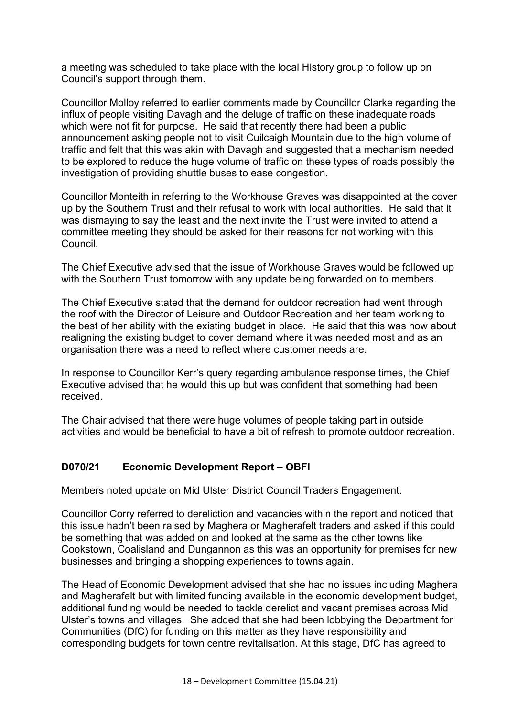a meeting was scheduled to take place with the local History group to follow up on Council's support through them.

Councillor Molloy referred to earlier comments made by Councillor Clarke regarding the influx of people visiting Davagh and the deluge of traffic on these inadequate roads which were not fit for purpose. He said that recently there had been a public announcement asking people not to visit Cuilcaigh Mountain due to the high volume of traffic and felt that this was akin with Davagh and suggested that a mechanism needed to be explored to reduce the huge volume of traffic on these types of roads possibly the investigation of providing shuttle buses to ease congestion.

Councillor Monteith in referring to the Workhouse Graves was disappointed at the cover up by the Southern Trust and their refusal to work with local authorities. He said that it was dismaying to say the least and the next invite the Trust were invited to attend a committee meeting they should be asked for their reasons for not working with this Council.

The Chief Executive advised that the issue of Workhouse Graves would be followed up with the Southern Trust tomorrow with any update being forwarded on to members.

The Chief Executive stated that the demand for outdoor recreation had went through the roof with the Director of Leisure and Outdoor Recreation and her team working to the best of her ability with the existing budget in place. He said that this was now about realigning the existing budget to cover demand where it was needed most and as an organisation there was a need to reflect where customer needs are.

In response to Councillor Kerr's query regarding ambulance response times, the Chief Executive advised that he would this up but was confident that something had been received.

The Chair advised that there were huge volumes of people taking part in outside activities and would be beneficial to have a bit of refresh to promote outdoor recreation.

# **D070/21 Economic Development Report – OBFI**

Members noted update on Mid Ulster District Council Traders Engagement.

Councillor Corry referred to dereliction and vacancies within the report and noticed that this issue hadn't been raised by Maghera or Magherafelt traders and asked if this could be something that was added on and looked at the same as the other towns like Cookstown, Coalisland and Dungannon as this was an opportunity for premises for new businesses and bringing a shopping experiences to towns again.

The Head of Economic Development advised that she had no issues including Maghera and Magherafelt but with limited funding available in the economic development budget, additional funding would be needed to tackle derelict and vacant premises across Mid Ulster's towns and villages. She added that she had been lobbying the Department for Communities (DfC) for funding on this matter as they have responsibility and corresponding budgets for town centre revitalisation. At this stage, DfC has agreed to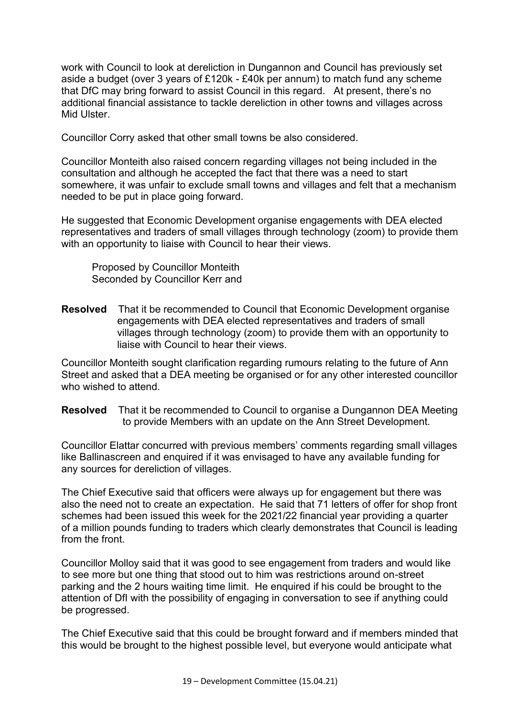work with Council to look at dereliction in Dungannon and Council has previously set aside a budget (over 3 years of £120k - £40k per annum) to match fund any scheme that DfC may bring forward to assist Council in this regard. At present, there's no additional financial assistance to tackle dereliction in other towns and villages across Mid Ulster.

Councillor Corry asked that other small towns be also considered.

Councillor Monteith also raised concern regarding villages not being included in the consultation and although he accepted the fact that there was a need to start somewhere, it was unfair to exclude small towns and villages and felt that a mechanism needed to be put in place going forward.

He suggested that Economic Development organise engagements with DEA elected representatives and traders of small villages through technology (zoom) to provide them with an opportunity to liaise with Council to hear their views.

 Proposed by Councillor Monteith Seconded by Councillor Kerr and

**Resolved** That it be recommended to Council that Economic Development organise engagements with DEA elected representatives and traders of small villages through technology (zoom) to provide them with an opportunity to liaise with Council to hear their views.

Councillor Monteith sought clarification regarding rumours relating to the future of Ann Street and asked that a DEA meeting be organised or for any other interested councillor who wished to attend.

**Resolved** That it be recommended to Council to organise a Dungannon DEA Meeting to provide Members with an update on the Ann Street Development.

Councillor Elattar concurred with previous members' comments regarding small villages like Ballinascreen and enquired if it was envisaged to have any available funding for any sources for dereliction of villages.

The Chief Executive said that officers were always up for engagement but there was also the need not to create an expectation. He said that 71 letters of offer for shop front schemes had been issued this week for the 2021/22 financial year providing a quarter of a million pounds funding to traders which clearly demonstrates that Council is leading from the front.

Councillor Molloy said that it was good to see engagement from traders and would like to see more but one thing that stood out to him was restrictions around on-street parking and the 2 hours waiting time limit. He enquired if his could be brought to the attention of DfI with the possibility of engaging in conversation to see if anything could be progressed.

The Chief Executive said that this could be brought forward and if members minded that this would be brought to the highest possible level, but everyone would anticipate what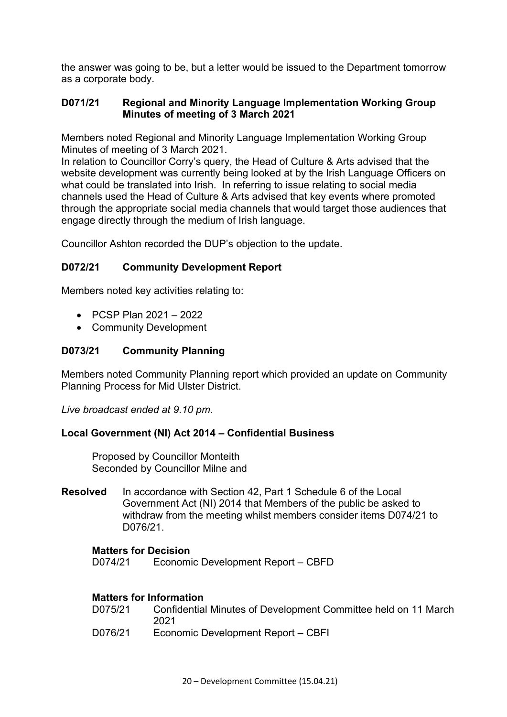the answer was going to be, but a letter would be issued to the Department tomorrow as a corporate body.

## **D071/21 Regional and Minority Language Implementation Working Group Minutes of meeting of 3 March 2021**

Members noted Regional and Minority Language Implementation Working Group Minutes of meeting of 3 March 2021.

In relation to Councillor Corry's query, the Head of Culture & Arts advised that the website development was currently being looked at by the Irish Language Officers on what could be translated into Irish. In referring to issue relating to social media channels used the Head of Culture & Arts advised that key events where promoted through the appropriate social media channels that would target those audiences that engage directly through the medium of Irish language.

Councillor Ashton recorded the DUP's objection to the update.

# **D072/21 Community Development Report**

Members noted key activities relating to:

- PCSP Plan 2021 2022
- Community Development

## **D073/21 Community Planning**

Members noted Community Planning report which provided an update on Community Planning Process for Mid Ulster District.

*Live broadcast ended at 9.10 pm.* 

#### **Local Government (NI) Act 2014 – Confidential Business**

 Proposed by Councillor Monteith Seconded by Councillor Milne and

**Resolved** In accordance with Section 42, Part 1 Schedule 6 of the Local Government Act (NI) 2014 that Members of the public be asked to withdraw from the meeting whilst members consider items D074/21 to D076/21.

#### **Matters for Decision**

D074/21 Economic Development Report – CBFD

# **Matters for Information**

| D075/21 | Confidential Minutes of Development Committee held on 11 March |
|---------|----------------------------------------------------------------|
|         | 2021                                                           |
| D076/21 | Economic Development Report - CBFI                             |